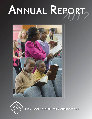# *2012* **ANNUAL REPORT**





**INDIANAPOLIS CENTER FOR CONGREGATIONS**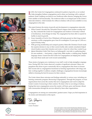









In 2012, the Center for Congregations continued its pattern of growth, as we worked<br>to help strengthen Indiana congregations and to share our learnings with a national to help strengthen Indiana congregations and to share our learnings with a national audience. Katie Lindberg was hired as our Northwest office director, bringing the Crown Point satellite to full functionality. The northwest office is an integral part of the Center's statewide initiative, which includes five offices in Indiana with services available to every congregation in the state.

This report features the stories of growth and development in congregations statewide:

- When Carmel's Seventh Day Adventist Church outgrew their modest worship facility, they contacted the Center for Congregations and Andrews University's School of Architecture, Art & Design for help. The congregation has been able to expand its facility to meet its growth.
- Grace Assembly of God in New Whiteland will break ground on their long-awaited sanctuary, as this congregation grew from 26 worshippers 15 years ago to 1,100 on a typical Sunday today.
- With growing membership and cramped quarters, Batesville Christian Church made the surprise decision to stay in their current facility after outside consultants helped church leaders assess their situation and create a vision for where they wanted to go.
- Iglesia Metodista Unida Vida Nueva on Indianapolis' west side is a gathering place for area residents — food pantry, a legal clinic, Bible studies, a clothing shop, English language classes. Grants from the Center for Congregations are helping the community meet those needs and work toward sustainability.

These stories of progress are a testimony to our staff's work to help strengthen congregations. During 2012, the Center observed a number of significant outcomes. Many congregations that chose to grow numerically did so; congregations that chose to increase their income did so; congregations functioned as learning organizations with clergy and laity working together to address complex challenges; congregations became increasingly skilled at choosing the best fit resource for their contexts.

The Center shares these outcomes and findings nationally in various ways, including our learning community program, Resourcing Congregations. Through this program, we host organizations from across the country that serve congregations and want to adapt the Center's mode of resourcing to their contexts. We share what we are doing in Indiana, hoping that more congregations across the country will learn, grow and become vibrant faith communities through the services offered by these other organizations.

Congregations are among our communities' greatest assets. I hope you find inspiration in the stories and information in this report.

Din Shapero

*Tim Shapiro Center President*

Front cover photo is from Carmel Seventh Day Adventist Church. The above photos are (from top) Iglesia Metodista Unida Vida Nueva in Indianapolis, Carmel Seventh Day Adventist Church, Grace Assembly of God in New Whiteland and Batesville Christian Church.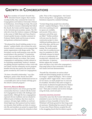# **GROWTH IN CONGREGATIONS**

When members of Carmel's Seventh Day<br>Adventist Church outgrew their modest worship facility, they contacted the Center for Congregations and Andrews University's School of Architecture, Art & Design for help. The result was an effective resource relationship that linked the church, the Center and the largest university in the Adventist post-secondary system. The 150 mile drive from the Andrews campus in Michigan to the corner of 146th Street and Carey Road in Carmel quickly became a familiar commute for Professor Martin Smith and his team of senior and graduate architectural students.

"We planned the church building project in two phases," explains Smith, who oversees the architectural school's community service program that assists organizations with design needs. "The first phase was the multi-purpose room and the second phase is the sanctuary." Construction won't wrap up until June, but the fruits of the collaboration already are evident. The Carmel congregation is anticipating a facility tailored to its expanding membership; Andrews' students are getting practical experience as they work with real clients; and the community service program benefits from the fees paid by the church from grants awarded by the Center for Congregations.

"It's been a beautiful relationship," says Alex Rodriguez, pastor of the church since 2007. "We've received excellent architectural services at a reasonable price and our funds will help grow the school's outreach program."

# **IDENTIFYING, REDUCING BARRIERS**

The Carmel church is one of four growing faith communities that have worked with the Center for Congregations for help with challenges and opportunities. Although the four congregations represent diverse traditions and are situated in different parts of Indiana, they have much in common. All enjoy high visibility on well-trafficked highways; their pastoral and lay leaders are dynamic; their facilities are hubs of community life; and members are poised to expand their ministries once they address the obstacles in their paths. Three of the congregations—the Carmel church among them—are grappling with space limitations imposed by outdated buildings.

"Certain things keep people from attending church," explains Rodriguez. "First, if visitors

drive into a parking lot and no spaces are available, and second, if they enter a sanctuary and all the seats are filled." Neither problem will exist once his church's construction project is done. Additional parking places are part of the plan, and the new sanctuary will offer ample seating. The multi-purpose room, site of worship services since its completion in 2010, will finally assume its intended use as a combination fellowship hall, volleyball court and classroom. A spacious kitchen adjoins the versatile



"Seventh Day Adventists are serious about health and about helping people eat well and live longer," explains Rodriguez. "We've started a program called 'veggie meals.' Once a month for two hours, we teach people how to cook and live healthier. We believe that until we begin to heal society of ailments brought about by lifestyle choices, it's difficult to make strides into scripture." Their plan is holistic and involves strengthening the body, mind and spirit.

# **LOCATION, LOCATION, LOCATION**

Around the same time the Carmel Adventists are scheduled to move into their new worship space, members of Grace Assembly of God in New Whiteland will break ground for their long-awaited sanctuary. Membership has soared in the past 15 years since Wayne Murray accepted the call to the struggling church that his district superin-



Carmel Seventh Day Adventist Church

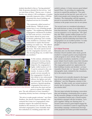tendent described to him as "having potential." Only 26 persons attended his first service, "and we were three of them," Murray says. A typical Sunday now attracts 1,100 worshippers, a number



especially impressive since a 1999 fire devastated the church building and displaced services for 18 months.

"The community rallied around us," recalls Murray. "Difficult circumstances have a way of binding people together." The neighboring Methodist congregation volunteered its facilities for mid-week services; a local television station offered its green room for Sunday gatherings; and a nearby aviary doubled as a sanctuary while construction to replace the burned building was under way. "We called it 'The Birdhouse,'" jokes Murray about the aviary. The exotic species moved out, the congregation moved in, and "the amazing thing was, we didn't lose any members."

Batesville Christian Church



Grace Assembly of God Church in New Whiteland

To the contrary, attendance has continued to increase during subsequent building projects, helped by the congregation's highly visible location on U.S. 31 and its outreach to the community. As many as 10,000 people convene annually for the congregation's Fourth of July tribute to law enforcement officers, fire fighters and military personnel. The church also sponsors a Spanish-speaking congregation that meets in a mall across the street and has

grown to almost 100 worship-

pers. The only deterrent to Grace Assembly's expanding ministry has been a shortage of space.

"We strive to make people welcome," says Dave Neathery, the church's business manager, who contacted the Center for Congregations when members outgrew the auditorium that has doubled as the sanctuary for a decade. Like the Adventist congregation, Grace Assembly members embarked on a building project that will

unfold in phases. A Center resource grant helped launch Phase 1 by providing for engineering services to expand the parking lot. "Our parking has maxed out the past few years and we've had to turn people away during big events," says Neathery. The relationship with the engineers proved so successful that the collaboration will continue as the project moves into its next phase.

"For several years we considered relocating to the north because so many of our folks drive here from that direction," says Murray. "But property was too expensive, so we stayed put." He's glad they did. With a quarter million people now living within a 20-mile radius of the church building, Murray and his leadership team believe the congregation is in an excellent position "to make the greatest impact on the greatest number of people."

# **LET'S GROW TOGETHER**

Relocation also was the intent of Batesville Christian Church members after steady growth resulted in cramped quarters and prompted the youth program to move off-site. Plans changed after outside consultants, funded by a Center grant, helped church leaders assess their situation and create a vision for where they wanted to go. The congregation gained new appreciation for their building's location and decided—as Grace Assembly Church did—to "stay put." Results of a demographic study, initiated by the consultants, led to the surprise decision.

"We learned we're centrally situated in the largest area of our community that claims no religious affiliation," says Eric Bingaman, minister of discipleship. "In other words, our current location is exactly ripe for ministry. We're in the middle of our mission field."

The next steps included developing a renovation plan and designing a fundraising drive to generate the necessary pledges to bring the plan to fruition. Committees formed and a colorful marketing initiative emerged with the invitation: "Let's grow together! Taking root. Bearing fruit." A second Center resource grant helped engage the services of a consultant to assist in organizing the stewardship campaign. Architectural drawings of the proposed renovation provided momentum

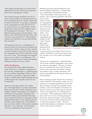when leaders unveiled them at a church picnic, displayed them in the church foyer and posted them on the congregation's website.

The concept of hiring consultants was new to many church members who questioned the wisdom of spending funds on "experts" rather than for bricks and mortar. "It was quite an epiphany for the congregation to realize that the use of an outside resource was a good thing," recalls Doug Hanner, director of the southeast Center for Congregations in Seymour. "This was a high-functioning group of church leaders," says Hanner, who assured them that the Center's role was not to exert control but to "walk alongside members and help them over any speed bumps they encounter."

The bumps have been few, and Bingaman is pleased with the way the process has played out. Construction is likely to begin next year, and the renovated facility not only will meet the needs of the congregation but also the community at large for years to come. "We encourage local organizations to use our church," says Bingaman. "We think it's a travesty to have a large, well-situated building and only use it once a week."

# **A ONE-STOP RESOURCE**

Like the Batesville church, Iglesia Metodista Unida Vida Nueva, a Hispanic congregation on the west side of Indianapolis, is a gathering place for area residents. Depending on the day, activities include a food pantry, a legal clinic, Bible studies, a clothing shop, English language classes, a GED program and computer sessions in the 22-station lab.

Sunday services attract about 120 worshippers, with eight Hispanic countries represented. Pastor David Penalva switches effortlessly from English to Spanish, depending on his audience's proficiency. First generation immigrants and preschool children speak Spanish; elementaryschool students blend the two languages as their bilingual skills improve; teens, having made the transition, prefer English only. Faith traditions also vary from Catholic to Pentecostal to mainline Protestant. "It's a challenge," admits Penalva, "but we're establishing common ground."

Obstacles go beyond cultural differences and include problems imposed by a vintage building, a membership with limited resources— "we're at the bottom of the income level," says Penalva—and a transient population with many

needs. Grants from the Center for Congregations are helping Vida Nueva meet those needs and work toward sustainability. A few years ago, the congregation participated in the Center's Sacred Space grant initiative that addressed facility issues. Now



Iglesia Metodista Unida Vida Nueva in Indianapolis

a resource grant is providing for the services of outside consultants to create a governance structure, develop a core of lay leaders and stabilize finances.

"We have two congregations," explains Penalva. "We have the worship congregation, and we have the outreach congregation." His goal is to blend the two so persons who come to the church for social services will return for Sunday worship, and members of the worship community will assume responsibility for the church's many outreach programs.

They're making progress. Penalva has recruited a board of directors, and training is under way. Lay leaders have accepted assignments to meet with other churches to explore the possibility of partnerships. As the city's Hispanic community continues to expand, so must the range of resources. "Some of our people have two and three jobs," says Penalva. "Who's helping the children with homework? Can we have a tutoring program?" He sees the church becoming a "one-stop place" for services, and that includes spiritual services, as well as the pragmatic variety. "We don't want the faith emphasis to diminish," he insists. "That's what church is all about."

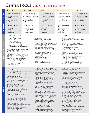# **CENTER FOCUS** 2012 ANNUAL REPORT STATISTICS

| <b>CENTRAL</b>                                                                                                                                                                                                                                                                                                                            | <b>NORTHEAST</b>                                                                                                                                            | <b>NORTHWEST</b>                                                                                                                                                                                                                                                                                                                                                                 | <b>SOUTHEAST</b>                                                                                                                                                                                                                                                                                                                                                                                                                                                                                                                                                                                                                                                                                  | <b>SOUTHWEST</b>                                                                                                                                                |  |
|-------------------------------------------------------------------------------------------------------------------------------------------------------------------------------------------------------------------------------------------------------------------------------------------------------------------------------------------|-------------------------------------------------------------------------------------------------------------------------------------------------------------|----------------------------------------------------------------------------------------------------------------------------------------------------------------------------------------------------------------------------------------------------------------------------------------------------------------------------------------------------------------------------------|---------------------------------------------------------------------------------------------------------------------------------------------------------------------------------------------------------------------------------------------------------------------------------------------------------------------------------------------------------------------------------------------------------------------------------------------------------------------------------------------------------------------------------------------------------------------------------------------------------------------------------------------------------------------------------------------------|-----------------------------------------------------------------------------------------------------------------------------------------------------------------|--|
| 4188 Conversations in<br>560 Cases of which<br>281 are New Cases with<br>479 People representing<br>280 Congregations<br>$\bullet$<br>43% were clergy<br>57% were laity                                                                                                                                                                   | • 1183 Conversations in<br>175 Cases of which<br>119 are New Cases with<br>136 People representing<br>97 Congregations<br>69% were clergy<br>31% were laity | • 504 Conversations in<br>73 Cases of which<br>58 are New Cases with<br>75 People representing<br>52 Congregations<br>59% were clergy<br>41% were laity                                                                                                                                                                                                                          | • 993 Conversations in<br>118 Cases of which<br>96 are New Cases with<br>126 People representing<br>69 Congregations<br>$\bullet$<br>56% were clergy<br>$\bullet$<br>44% were laity                                                                                                                                                                                                                                                                                                                                                                                                                                                                                                               | • 1238 Conversations<br>145 Cases of which<br>• 110 are New Cases<br>• 140 People represes<br>• 83 Congregations<br>$\cdot$ 48% were clergy<br>• 52% were laity |  |
| <b>THE TOP ISSUES</b><br>Technology<br>Building<br>Finance<br>Congregational Vitality<br>Leadership                                                                                                                                                                                                                                       | <b>THE TOP ISSUES</b><br>Technology<br><b>Care Ministries</b><br>Congregational Vitality<br>Building<br>Strategic Planning                                  | <b>THE TOP ISSUES</b><br>Technology<br>Finance<br>Building<br>Youth Ministry<br>Volunteers                                                                                                                                                                                                                                                                                       | <b>THE TOP ISSUES</b><br>Technology<br>Children's Ministry<br>Youth Ministry<br>Congregational Finance<br>Volunteers                                                                                                                                                                                                                                                                                                                                                                                                                                                                                                                                                                              | <b>THE TOP ISSUES</b><br>Technology<br>Finance<br>Strategic Planning<br>Congregational Vit<br>Youth Ministry                                                    |  |
| 120 Educational Events and Meetings<br>Including 40 held in Central Indiana<br>22 in the Northeast area<br>22 in the Northwest<br>21 in the Southeast<br>and 15 in the Southwest<br>1912 People representing<br>765 Congregations from<br>87 Faith Groups or Denominations                                                                |                                                                                                                                                             | Cousins Foundation<br>Creating an Unbroken Circle of Care<br>Crossroads Community Church<br>Crown Point Ministerial Meeting<br>Dearborn County Resource Grant Info<br>Dubois County Grants Luncheon<br>Economic Challenges Facing Indiana Pastors<br>Envisioning and Designing Faith Formation<br><b>Essentials of Church Finance</b><br>First Presbyterian Church of Evansville | Messiah Lutheran Church Board Meeting<br>Ministry for the 21st Century Child<br>Missional Conversation<br>North United Methodist Executive Meeting<br>Reaching Millenials<br>Rescue Mission Board Meeting<br>Ripley County Resource Grants Info<br>Risen Savior Lutheran Steering Committee<br>Samaritan Interfaith<br>SE Episocopal Deanery Clericus<br>Shared Ministry<br>Spiritual Foundations of Leadership<br>Sticky Faith<br>Sustainable Youth Ministry<br>Technology Tips for Your Congregation<br>Technology and Ministry Grant Initiative<br>Toolkit for Developing Congregational Plans<br>Trinity Evangelical Lutheran<br>Unitarian Universalist Meeting<br>Vibrant Community Outreach |                                                                                                                                                                 |  |
| EVENTS AND MEETINGS INCLUDE:<br>A Celebration of Giving<br>A Practical Guide to Congregational Planning<br>Alban Board of Directors<br>Bartholomew County Resource Grant Info<br>Brownstown Area Ministerial Association<br>Calvary Community Fellowship Board<br>Center for Congregations Board Meeting<br>Community Presbyterian Church |                                                                                                                                                             | Flourishing Congregations, West Lafayette<br>Flourishing Congregations Call-Out Meeting<br><b>Flourishing Congregations Interviewers</b><br>Floyd County Resource Grant Info<br>Fort Wayne Rescue Mission Board Retreat<br>Greene County Information Session<br>Help & Hospitality<br>Helping People Use Their Gifts<br><b>Intentional Community</b><br>InTrust                  |                                                                                                                                                                                                                                                                                                                                                                                                                                                                                                                                                                                                                                                                                                   |                                                                                                                                                                 |  |

Community Presbyterian Church Congregation Management Software Basics Congregations and Community Congregations and Culture Congregations Online

- \$1,232,459 for
- 98 Grants of which
- 16 were Technology and Ministry Grants totaling \$427,569
- 82 were Resource Grants totaling \$804,890

### **Grant Recipients**

Aldersgate United Methodist Church, Evansville Allisonville Christian Church, Indianapolis Asbury United Methodist Church, Columbus Avalon Missionary Church, Fort Wayne Bartlett Chapel United Methodist Church, Avon Batesville Christian Church Benton Mennonite Church, Goshen Blue Grass United Methodist Church, Evansville Brandywine Community Church, Greenfield Calvary Christian Church of Hartford City Carmel Lutheran Church Carmel Seventh Day Adventist Carmel United Methodist Church Castleton United Methodist Church Cedar Creek Church of Christ, Leo Central Christian Church, Seymour Central Presbyterian Church, Lafayette Central Presbyterian Church, Terre Haute Christ the Savior Lutheran Church, Fishers College Mennonite Church, Goshen Community Church of Columbus Connection Pointe Christian Church, Brownsburg Crossroads Christian Church, Evansville Crossroads Community Church, Fishers Delphi United Methodist Church Emmanuel Church of Greenwood Emmanuel United Methodist Church, Noblesville

Knox County Grants luncheon Leading in Conflict Maintenance and Care for Your Building Emmaus Lutheran Church, Fort Wayne

Jennings County Resource Grant Info

Epworth United Methodist Church, Indianapolis Etz Chaim Sephardic Congregation, Indianapolis Evangelical Covenant Church of Lafayette Fairlawn Presbyterian Church, Columbus Faith Missionary Church (EFC), Indianapolis First Brethren Church, North Manchester First Christian Church, Mooresville First Christian Church (DOC), Shelbyville First Christian Church (DOC), Lafayette First Congregational UCC, Angola First Missionary Church, Fort Wayne First Presbyterian Church, Bloomington First Presbyterian Church, Elkhart First Presbyterian Church of Evansville Gobin Memorial UMC, Greencastle Grace Assembly of God, New Whiteland Grace Episcopal Church, Muncie Grace Lutheran Church, Columbus Grace United Methodist Church, Hartford City Hazel Dell Christian Church, Carmel Hillside United Methodist Church, Princeton Holy Rosary Catholic Church, Evansville Holy Shepherd Lutheran Church, St. John Iglesia Nueva Esperanza, Hammond Jamestown Christian Church, Jamestown Kern Road Mennonite Church, South Bend Kingsway Christian Church, Avon LaPorte Presbyterian Church Life Tabernacle Church, Elkhart Life Journey Church, Indianapolis Living Word Baptist Church, Indianapolis Lockerbie Central UMC, Indianapolis Lord of Life Lutheran Church, Westfield Marquette Park United Methodist Church, Gary

- 1238 Conversations in
- 
- with
- nting
- 

**The Top Issues** tality

ibrant Community Outreach Walk in the Light Christian Church Your Sacred Space is a Community Asset Youth Activities That Teach and Reach

McCoy Memorial Baptist Church, Elkhart Mercy Road Church, Indianapolis Nineveh Christian Church Northside New Era Baptist Church, Indianapolis Northwood Christian Church, Indianapolis Ogilville Christian Church, Columbus Our Lady of Perpetual Help, New Albany Park Chapel Christian Church, Greenfield Pathway Lutheran Church, Harlan Peace United Church of Christ, Fort Wayne Redeemer Lutheran Church, Seymour Saint Joseph UMC, Fort Wayne Salvage Yard Church, Indianapolis Sanctuary Community Church, Greenwood Second Presbyterian Church, Indianapolis Selma United Methodist Church Southland Community Church, Greenwood St. Benedict Cathedral, Evansville St. John Lutheran Church, Indianapolis St. John The Baptist Catholic Church, Newburgh St. John's United Church, Chesterton St. Michael Lutheran Church, Fort Wayne St. Monica Catholic Church, Indianapolis St. Paul's Episcopal Church, Indianapolis St. Paul's Episcopal Church, Jeffersonville St. Peter's Lutheran Church, Fort Wayne St. Peter's Lutheran Church, Columbus St. Pius X Catholic Church, Indianapolis Stones Crossing Church, Greenwood The Ridge, Columbus Unitarian Universalist Church of Bloomington University Lutheran Church, West Lafayette Virtue and Praise Ministries, Indianapolis Wabash Friends Church Westlake Church of Christ, Indianapolis

RESOURCE CONSULTING **RESOURCE CONSULTING**

**GRANTS**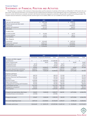# STATEMENTS OF FINANCIAL POSITION AND ACTIVITIES Financial Report

The following is a summary of the statement of financial position and the statement of activities of the Center as of December 31, 2012 and for the year then ended. This financial information was extracted from the audited financial statements of the Indianapolis Center for Congregations, Inc. It does not, however, include all disclosures normally associated with financial statements prepared in conformity with generally accepted accounting principles. The complete financial statements, including footnotes and the report of our auditors, BKD, LLP, are available for review upon request.

| <b>ASSETS</b>                     | 2012            | 2011                      |
|-----------------------------------|-----------------|---------------------------|
| Cash and cash equivalents         | 2,501,348<br>\$ | 1,078,797<br>\$           |
| Prepaid expenses and other assets | 25,431          | 21,380                    |
| Investments                       | 33,048,992      | 24,490,401                |
| Property and equipment            | 211,179         | 284,313                   |
| Total assets                      | 35,786,950      | 25,874,891                |
| <b>LIABILITIES</b>                |                 |                           |
| Accounts payable                  | \$<br>191,829   | \$<br>64,757              |
| Accrued expenses                  | 87,317          | 88,111                    |
| <b>Total liabilities</b>          | 279,146         | 152,868                   |
| <b>NET ASSETS</b>                 |                 |                           |
| Unrestricted                      | \$<br>2,616,649 | $\mathbb{S}$<br>2,487,162 |
| Temporarily restricted            | 32,891,155      | 23,234,861                |
| Total net assets                  | 35,507,804      | 25,722,023                |
| Total liabilities and net assets  | \$35,786,950    | \$25,874,891              |

|                                          | 2012        |                                     |                          | 2011          |                            |                                                 |
|------------------------------------------|-------------|-------------------------------------|--------------------------|---------------|----------------------------|-------------------------------------------------|
|                                          |             | Unrestricted Temporarily Restricted | Total                    | Unrestricted  | Temporarily Restricted     | Total                                           |
| Revenues and other support               |             |                                     |                          |               |                            |                                                 |
| Contributions                            | \$          | 14,000,000<br>\$                    | \$14,000,000             | $\mathcal{S}$ | \$                         | $\, \, \raisebox{10pt}{\text{\circle*{1.5}}}\,$ |
| Return of grant funds                    |             | 56,621                              | 56,621                   |               | 84,467                     | 84,467                                          |
| <b>Educational Events</b>                | 38,758      |                                     | 38,758                   | 58,071        |                            | 58,071                                          |
| Investment income                        | 144,683     | $\overline{\phantom{0}}$            | 144,683                  | 184,745       |                            | 184,745                                         |
|                                          | 183,441     | 14,056,621                          | 14,240,062               | 242,816       | 84,467                     | 327,283                                         |
| Net assets released from restrictions    | 4,400,327   | (4,400,327)                         |                          | 4,835,751     | (4,835,751)                |                                                 |
| Total revenues and other support         | 4,583,768   | 9,656,294                           | 14,240,062               | 5,078,567     | (4,751,284)                | 327,283                                         |
|                                          |             |                                     |                          |               |                            |                                                 |
| <b>Expenses and losses</b>               |             |                                     |                          |               |                            |                                                 |
| <b>Resource Consulting</b>               | 428,710     |                                     | 428,710                  | 517,283       |                            | 517,283                                         |
| Resource Discovery and Dissemination     | 263,746     | $\overline{\phantom{0}}$            | 263,746                  | 251,234       | $\overline{\phantom{0}}$   | 251,234                                         |
| Education                                | 713,375     | —                                   | 713,375                  | 729,410       |                            | 729,410                                         |
| <b>Resource Grants</b>                   | 1,036,008   | $\qquad \qquad -$                   | 1,036,008                | 861,022       | $\overline{\phantom{0}}$   | 861,022                                         |
| Major Grant Initiative                   | 583,262     | $\overline{\phantom{0}}$            | 583,262                  | 1,007,909     | $\overline{\phantom{0}}$   | 1,007,909                                       |
| Congregational Learning and Evaluation   | 591,942     | —                                   | 591,942                  | 640,350       | $\overline{\phantom{0}}$   | 640,350                                         |
| Total program services                   | 3,617,043   |                                     | 3,617,043                | 4,007,208     |                            | 4,007,208                                       |
| Management and general                   | 822,042     | $\overline{\phantom{m}}$            | 822,042                  | 886,641       | —                          | 886,614                                         |
| Total expenses                           | 4,439,085   |                                     | 4,439,085                | 4,893,822     |                            | 4,893,822                                       |
|                                          |             |                                     |                          |               |                            |                                                 |
| Change in net assets before other losses | 144,683     | 9,656,294                           | 9,800,977                | 184,745       | (4,751,284)                | (4, 566, 539)                                   |
| Unrealized losses on investments         | (15, 196)   | —                                   | (15, 196)                |               |                            |                                                 |
|                                          |             |                                     |                          |               |                            |                                                 |
| Change in net assets                     | 129,487     | 9,656,294                           | 9,785,781                | 184,745       | (4,751,284)                | (4,566,539)                                     |
|                                          |             |                                     |                          |               |                            |                                                 |
| Net assets, beginning of year            | 2,487,162   | 23,234,861                          | 25,722,023               | 2,302,417     | 27,986,145                 | 30,288,562                                      |
|                                          |             |                                     |                          |               |                            |                                                 |
| Net assets, end of year                  | \$2,616,649 | 32,891,155<br>$\mathbb{S}^-$        | \$35,507,804 \$2,487,162 |               | 23,234,861<br>$\mathbb{S}$ | \$25,722,023                                    |